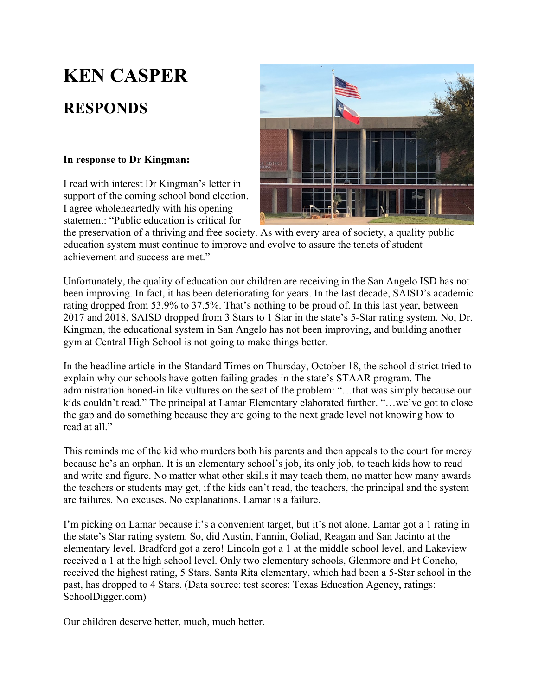## **KEN CASPER**

## **RESPONDS**

## **In response to Dr Kingman:**

I read with interest Dr Kingman's letter in support of the coming school bond election. I agree wholeheartedly with his opening statement: "Public education is critical for



the preservation of a thriving and free society. As with every area of society, a quality public education system must continue to improve and evolve to assure the tenets of student achievement and success are met."

Unfortunately, the quality of education our children are receiving in the San Angelo ISD has not been improving. In fact, it has been deteriorating for years. In the last decade, SAISD's academic rating dropped from 53.9% to 37.5%. That's nothing to be proud of. In this last year, between 2017 and 2018, SAISD dropped from 3 Stars to 1 Star in the state's 5-Star rating system. No, Dr. Kingman, the educational system in San Angelo has not been improving, and building another gym at Central High School is not going to make things better.

In the headline article in the Standard Times on Thursday, October 18, the school district tried to explain why our schools have gotten failing grades in the state's STAAR program. The administration honed-in like vultures on the seat of the problem: "…that was simply because our kids couldn't read." The principal at Lamar Elementary elaborated further. "…we've got to close the gap and do something because they are going to the next grade level not knowing how to read at all."

This reminds me of the kid who murders both his parents and then appeals to the court for mercy because he's an orphan. It is an elementary school's job, its only job, to teach kids how to read and write and figure. No matter what other skills it may teach them, no matter how many awards the teachers or students may get, if the kids can't read, the teachers, the principal and the system are failures. No excuses. No explanations. Lamar is a failure.

I'm picking on Lamar because it's a convenient target, but it's not alone. Lamar got a 1 rating in the state's Star rating system. So, did Austin, Fannin, Goliad, Reagan and San Jacinto at the elementary level. Bradford got a zero! Lincoln got a 1 at the middle school level, and Lakeview received a 1 at the high school level. Only two elementary schools, Glenmore and Ft Concho, received the highest rating, 5 Stars. Santa Rita elementary, which had been a 5-Star school in the past, has dropped to 4 Stars. (Data source: test scores: Texas Education Agency, ratings: SchoolDigger.com)

Our children deserve better, much, much better.